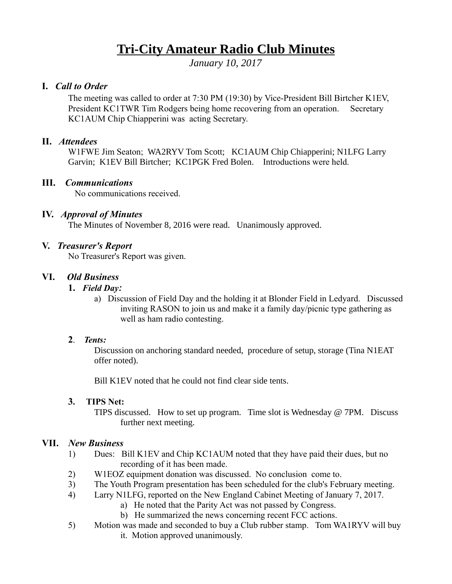# **Tri-City Amateur Radio Club Minutes**

*January 10, 2017*

# **I.** *Call to Order*

The meeting was called to order at 7:30 PM (19:30) by Vice-President Bill Birtcher K1EV, President KC1TWR Tim Rodgers being home recovering from an operation. Secretary KC1AUM Chip Chiapperini was acting Secretary.

# **II.** *Attendees*

W1FWE Jim Seaton; WA2RYV Tom Scott; KC1AUM Chip Chiapperini; N1LFG Larry Garvin; K1EV Bill Birtcher; KC1PGK Fred Bolen. Introductions were held.

# **III.** *Communications*

No communications received.

# **IV.** *Approval of Minutes*

The Minutes of November 8, 2016 were read. Unanimously approved.

# **V.** *Treasurer's Report*

No Treasurer's Report was given.

# **VI.** *Old Business*

- **1.** *Field Day:*
	- a) Discussion of Field Day and the holding it at Blonder Field in Ledyard. Discussed inviting RASON to join us and make it a family day/picnic type gathering as well as ham radio contesting.

# **2**. *Tents:*

Discussion on anchoring standard needed, procedure of setup, storage (Tina N1EAT offer noted).

Bill K1EV noted that he could not find clear side tents.

# **3. TIPS Net:**

TIPS discussed. How to set up program. Time slot is Wednesday  $\omega$  7PM. Discuss further next meeting.

# **VII.** *New Business*

- 1) Dues: Bill K1EV and Chip KC1AUM noted that they have paid their dues, but no recording of it has been made.
- 2) W1EOZ equipment donation was discussed. No conclusion come to.
- 3) The Youth Program presentation has been scheduled for the club's February meeting.
- 4) Larry N1LFG, reported on the New England Cabinet Meeting of January 7, 2017.
	- a) He noted that the Parity Act was not passed by Congress.
		- b) He summarized the news concerning recent FCC actions.
- 5) Motion was made and seconded to buy a Club rubber stamp. Tom WA1RYV will buy it. Motion approved unanimously.